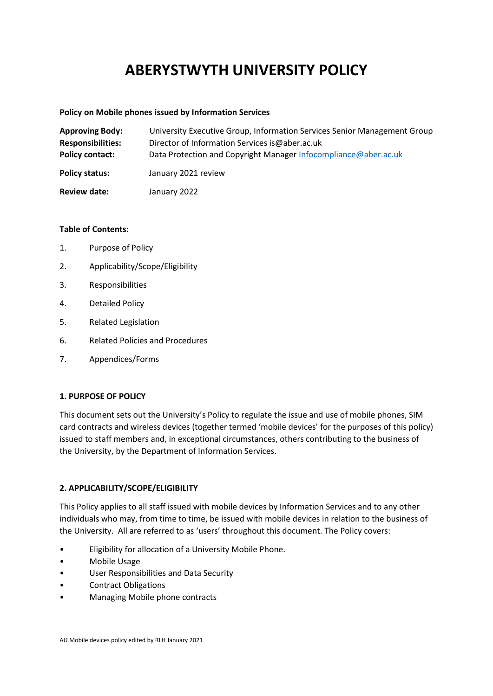# **ABERYSTWYTH UNIVERSITY POLICY**

#### **Policy on Mobile phones issued by Information Services**

| <b>Approving Body:</b>   | University Executive Group, Information Services Senior Management Group |
|--------------------------|--------------------------------------------------------------------------|
| <b>Responsibilities:</b> | Director of Information Services is@aber.ac.uk                           |
| <b>Policy contact:</b>   | Data Protection and Copyright Manager Infocompliance@aber.ac.uk          |
| <b>Policy status:</b>    | January 2021 review                                                      |
| <b>Review date:</b>      | January 2022                                                             |

## **Table of Contents:**

- 1. Purpose of Policy
- 2. Applicability/Scope/Eligibility
- 3. Responsibilities
- 4. Detailed Policy
- 5. Related Legislation
- 6. Related Policies and Procedures
- 7. Appendices/Forms

## **1. PURPOSE OF POLICY**

This document sets out the University's Policy to regulate the issue and use of mobile phones, SIM card contracts and wireless devices (together termed 'mobile devices' for the purposes of this policy) issued to staff members and, in exceptional circumstances, others contributing to the business of the University, by the Department of Information Services.

## **2. APPLICABILITY/SCOPE/ELIGIBILITY**

This Policy applies to all staff issued with mobile devices by Information Services and to any other individuals who may, from time to time, be issued with mobile devices in relation to the business of the University. All are referred to as 'users' throughout this document. The Policy covers:

- Eligibility for allocation of a University Mobile Phone.
- Mobile Usage
- User Responsibilities and Data Security
- Contract Obligations
- Managing Mobile phone contracts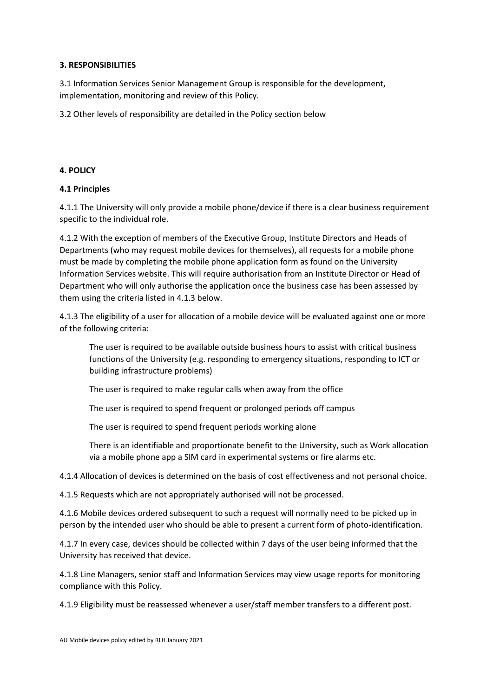## **3. RESPONSIBILITIES**

3.1 Information Services Senior Management Group is responsible for the development, implementation, monitoring and review of this Policy.

3.2 Other levels of responsibility are detailed in the Policy section below

## **4. POLICY**

## **4.1 Principles**

4.1.1 The University will only provide a mobile phone/device if there is a clear business requirement specific to the individual role.

4.1.2 With the exception of members of the Executive Group, Institute Directors and Heads of Departments (who may request mobile devices for themselves), all requests for a mobile phone must be made by completing the mobile phone application form as found on the University Information Services website. This will require authorisation from an Institute Director or Head of Department who will only authorise the application once the business case has been assessed by them using the criteria listed in 4.1.3 below.

4.1.3 The eligibility of a user for allocation of a mobile device will be evaluated against one or more of the following criteria:

The user is required to be available outside business hours to assist with critical business functions of the University (e.g. responding to emergency situations, responding to ICT or building infrastructure problems)

The user is required to make regular calls when away from the office

The user is required to spend frequent or prolonged periods off campus

The user is required to spend frequent periods working alone

There is an identifiable and proportionate benefit to the University, such as Work allocation via a mobile phone app a SIM card in experimental systems or fire alarms etc.

4.1.4 Allocation of devices is determined on the basis of cost effectiveness and not personal choice.

4.1.5 Requests which are not appropriately authorised will not be processed.

4.1.6 Mobile devices ordered subsequent to such a request will normally need to be picked up in person by the intended user who should be able to present a current form of photo-identification.

4.1.7 In every case, devices should be collected within 7 days of the user being informed that the University has received that device.

4.1.8 Line Managers, senior staff and Information Services may view usage reports for monitoring compliance with this Policy.

4.1.9 Eligibility must be reassessed whenever a user/staff member transfers to a different post.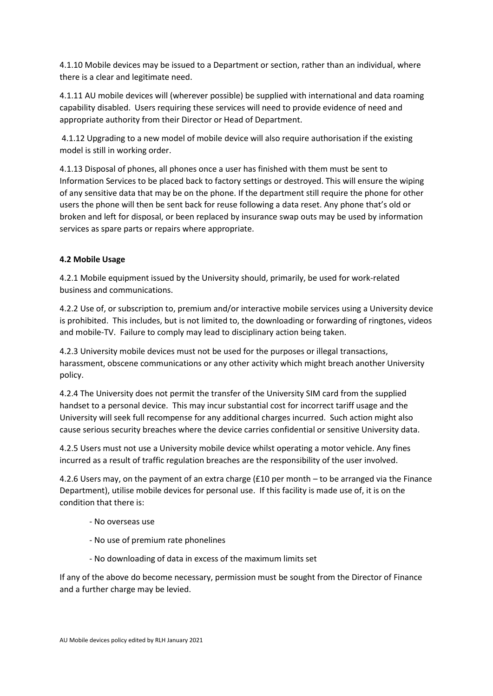4.1.10 Mobile devices may be issued to a Department or section, rather than an individual, where there is a clear and legitimate need.

4.1.11 AU mobile devices will (wherever possible) be supplied with international and data roaming capability disabled. Users requiring these services will need to provide evidence of need and appropriate authority from their Director or Head of Department.

4.1.12 Upgrading to a new model of mobile device will also require authorisation if the existing model is still in working order.

4.1.13 Disposal of phones, all phones once a user has finished with them must be sent to Information Services to be placed back to factory settings or destroyed. This will ensure the wiping of any sensitive data that may be on the phone. If the department still require the phone for other users the phone will then be sent back for reuse following a data reset. Any phone that's old or broken and left for disposal, or been replaced by insurance swap outs may be used by information services as spare parts or repairs where appropriate.

## **4.2 Mobile Usage**

4.2.1 Mobile equipment issued by the University should, primarily, be used for work‐related business and communications.

4.2.2 Use of, or subscription to, premium and/or interactive mobile services using a University device is prohibited. This includes, but is not limited to, the downloading or forwarding of ringtones, videos and mobile-TV. Failure to comply may lead to disciplinary action being taken.

4.2.3 University mobile devices must not be used for the purposes or illegal transactions, harassment, obscene communications or any other activity which might breach another University policy.

4.2.4 The University does not permit the transfer of the University SIM card from the supplied handset to a personal device. This may incur substantial cost for incorrect tariff usage and the University will seek full recompense for any additional charges incurred. Such action might also cause serious security breaches where the device carries confidential or sensitive University data.

4.2.5 Users must not use a University mobile device whilst operating a motor vehicle. Any fines incurred as a result of traffic regulation breaches are the responsibility of the user involved.

4.2.6 Users may, on the payment of an extra charge (£10 per month – to be arranged via the Finance Department), utilise mobile devices for personal use. If this facility is made use of, it is on the condition that there is:

- ‐ No overseas use
- ‐ No use of premium rate phonelines
- ‐ No downloading of data in excess of the maximum limits set

If any of the above do become necessary, permission must be sought from the Director of Finance and a further charge may be levied.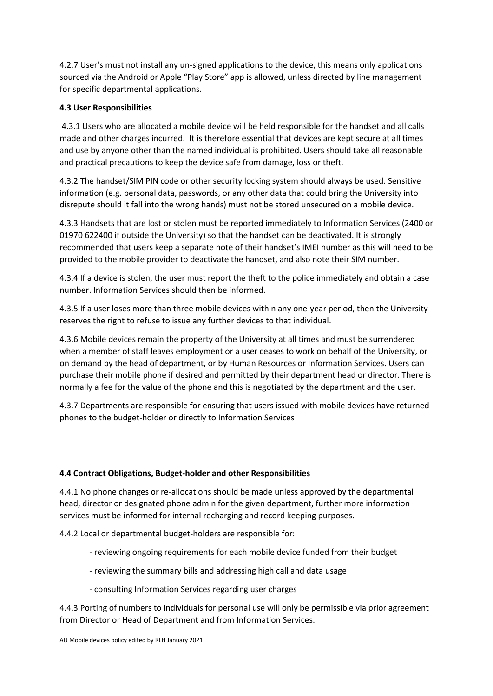4.2.7 User's must not install any un-signed applications to the device, this means only applications sourced via the Android or Apple "Play Store" app is allowed, unless directed by line management for specific departmental applications.

## **4.3 User Responsibilities**

4.3.1 Users who are allocated a mobile device will be held responsible for the handset and all calls made and other charges incurred. It is therefore essential that devices are kept secure at all times and use by anyone other than the named individual is prohibited. Users should take all reasonable and practical precautions to keep the device safe from damage, loss or theft.

4.3.2 The handset/SIM PIN code or other security locking system should always be used. Sensitive information (e.g. personal data, passwords, or any other data that could bring the University into disrepute should it fall into the wrong hands) must not be stored unsecured on a mobile device.

4.3.3 Handsets that are lost or stolen must be reported immediately to Information Services (2400 or 01970 622400 if outside the University) so that the handset can be deactivated. It is strongly recommended that users keep a separate note of their handset's IMEI number as this will need to be provided to the mobile provider to deactivate the handset, and also note their SIM number.

4.3.4 If a device is stolen, the user must report the theft to the police immediately and obtain a case number. Information Services should then be informed.

4.3.5 If a user loses more than three mobile devices within any one‐year period, then the University reserves the right to refuse to issue any further devices to that individual.

4.3.6 Mobile devices remain the property of the University at all times and must be surrendered when a member of staff leaves employment or a user ceases to work on behalf of the University, or on demand by the head of department, or by Human Resources or Information Services. Users can purchase their mobile phone if desired and permitted by their department head or director. There is normally a fee for the value of the phone and this is negotiated by the department and the user.

4.3.7 Departments are responsible for ensuring that users issued with mobile devices have returned phones to the budget‐holder or directly to Information Services

## **4.4 Contract Obligations, Budget‐holder and other Responsibilities**

4.4.1 No phone changes or re-allocations should be made unless approved by the departmental head, director or designated phone admin for the given department, further more information services must be informed for internal recharging and record keeping purposes.

4.4.2 Local or departmental budget‐holders are responsible for:

- ‐ reviewing ongoing requirements for each mobile device funded from their budget
- ‐ reviewing the summary bills and addressing high call and data usage
- ‐ consulting Information Services regarding user charges

4.4.3 Porting of numbers to individuals for personal use will only be permissible via prior agreement from Director or Head of Department and from Information Services.